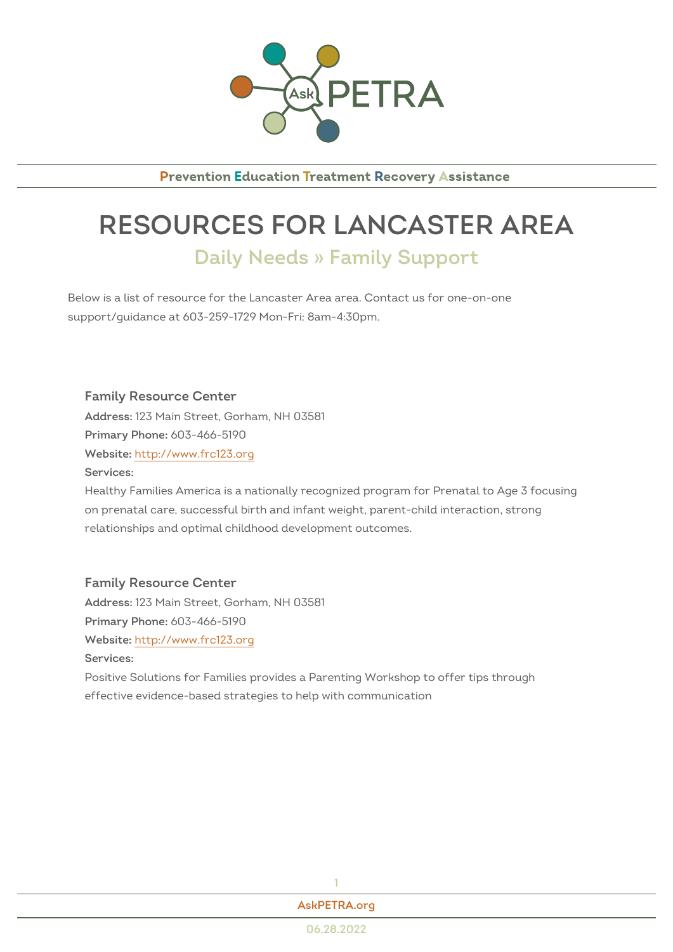

**Prevention Education Treatment Recovery Assistance** 

## RESOURCES FOR LANCASTER Daily Needs » Family Support

Below is a list of resource for the Lancaster Area area. Contact us for one support/guidance at 603-259-1729 Mon-Fri: 8am-4:30pm.

Family Resource Center Addres\$23 Main Street, Gorham, NH 03581 Primary Phono8: 466-5190 Websithet: tp://www.frc123.org Services: Healthy Families America is a nationally recognized program for Prenata

on prenatal care, successful birth and infant weight, parent-child interac relationships and optimal childhood development outcomes.

Family Resource Center Addres\$23 Main Street, Gorham, NH 03581  $Primary Ph@P@: 466-5190$ Websithet: tp://www.frc123.org Services: Positive Solutions for Families provides a Parenting Workshop to offer ti effective evidence-based strategies to help with communication

> 1 [AskPETRA](https://askpetra.org).org